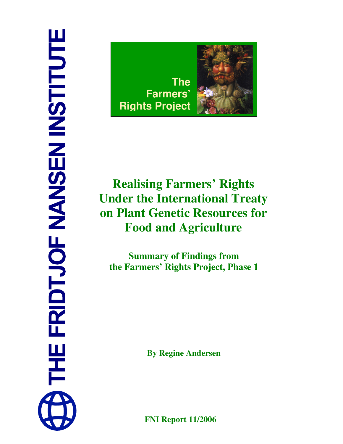# THE FRIDTJOF NANSEN INSTITUTE



# **Realising Farmers' Rights Under the International Treaty on Plant Genetic Resources for Food and Agriculture**

**Summary of Findings from the Farmers' Rights Project, Phase 1**

**By Regine Andersen**

**FNI Report 11/2006**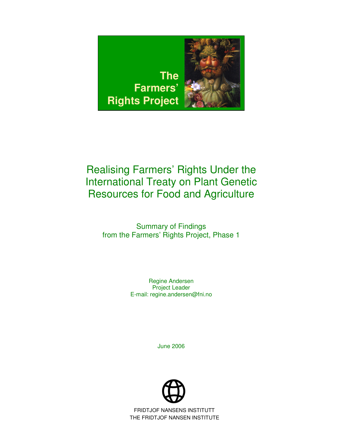

# Realising Farmers' Rights Under the International Treaty on Plant Genetic Resources for Food and Agriculture

Summary of Findings from the Farmers' Rights Project, Phase 1

> Regine Andersen Project Leader E-mail: regine.andersen@fni.no

> > June 2006



THE FRIDTJOF NANSEN INSTITUTE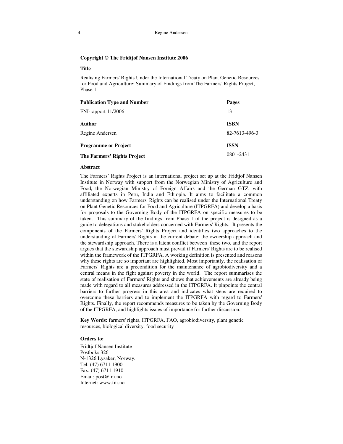### **Copyright © The Fridtjof Nansen Institute 2006**

### **Title**

Realising Farmers' Rights Under the International Treaty on Plant Genetic Resources for Food and Agriculture: Summary of Findings from The Farmers' Rights Project, Phase 1

| <b>Pages</b>  |
|---------------|
| 13            |
| <b>ISBN</b>   |
| 82-7613-496-3 |
| <b>ISSN</b>   |
| 0801-2431     |
|               |

### **Abstract**

The Farmers' Rights Project is an international project set up at the Fridtjof Nansen Institute in Norway with support from the Norwegian Ministry of Agriculture and Food, the Norwegian Ministry of Foreign Affairs and the German GTZ, with affiliated experts in Peru, India and Ethiopia. It aims to facilitate a common understanding on how Farmers' Rights can be realised under the International Treaty on Plant Genetic Resources for Food and Agriculture (ITPGRFA) and develop a basis for proposals to the Governing Body of the ITPGRFA on specific measures to be taken. This summary of the findings from Phase 1 of the project is designed as a guide to delegations and stakeholders concerned with Farmers' Rights. It presents the components of the Farmers' Rights Project and identifies two approaches to the understanding of Farmers' Rights in the current debate: the ownership approach and the stewardship approach. There is a latent conflict between these two, and the report argues that the stewardship approach must prevail if Farmers' Rights are to be realised within the framework of the ITPGRFA. A working definition is presented and reasons why these rights are so important are highlighted. Most importantly, the realisation of Farmers' Rights are a precondition for the maintenance of agrobiodiversity and a central means in the fight against poverty in the world. The report summarises the state of realisation of Farmers' Rights and shows that achievements are already being made with regard to all measures addressed in the ITPGRFA. It pinpoints the central barriers to further progress in this area and indicates what steps are required to overcome these barriers and to implement the ITPGRFA with regard to Farmers' Rights. Finally, the report recommends measures to be taken by the Governing Body of the ITPGRFA, and highlights issues of importance for further discussion.

**Key Words:** farmers' rights, ITPGRFA, FAO, agrobiodiversity, plant genetic resources, biological diversity, food security

### **Orders to:**

Fridtjof Nansen Institute Postboks 326 N-1326 Lysaker, Norway. Tel: (47) 6711 1900 Fax: (47) 6711 1910 Email: post@fni.no Internet: www.fni.no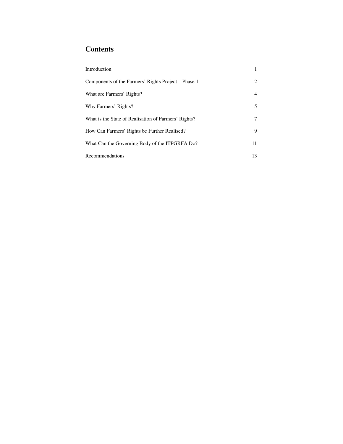# **Contents**

| Introduction                                         |    |
|------------------------------------------------------|----|
| Components of the Farmers' Rights Project – Phase 1  | 2  |
| What are Farmers' Rights?                            | 4  |
| Why Farmers' Rights?                                 | 5  |
| What is the State of Realisation of Farmers' Rights? | 7  |
| How Can Farmers' Rights be Further Realised?         | 9  |
| What Can the Governing Body of the ITPGRFA Do?       | 11 |
| Recommendations                                      | 13 |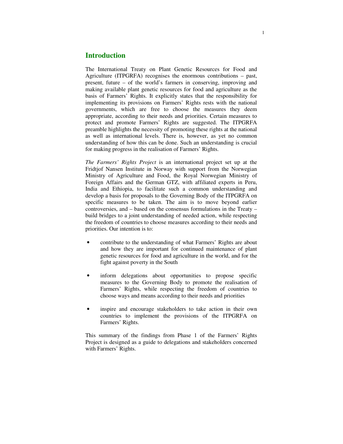### **Introduction**

The International Treaty on Plant Genetic Resources for Food and Agriculture (ITPGRFA) recognises the enormous contributions – past, present, future – of the world's farmers in conserving, improving and making available plant genetic resources for food and agriculture as the basis of Farmers' Rights. It explicitly states that the responsibility for implementing its provisions on Farmers' Rights rests with the national governments, which are free to choose the measures they deem appropriate, according to their needs and priorities. Certain measures to protect and promote Farmers' Rights are suggested. The ITPGRFA preamble highlights the necessity of promoting these rights at the national as well as international levels. There is, however, as yet no common understanding of how this can be done. Such an understanding is crucial for making progress in the realisation of Farmers' Rights.

*The Farmers' Rights Project* is an international project set up at the Fridtjof Nansen Institute in Norway with support from the Norwegian Ministry of Agriculture and Food, the Royal Norwegian Ministry of Foreign Affairs and the German GTZ, with affiliated experts in Peru, India and Ethiopia, to facilitate such a common understanding and develop a basis for proposals to the Governing Body of the ITPGRFA on specific measures to be taken. The aim is to move beyond earlier controversies, and – based on the consensus formulations in the Treaty – build bridges to a joint understanding of needed action, while respecting the freedom of countries to choose measures according to their needs and priorities. Our intention is to:

- contribute to the understanding of what Farmers' Rights are about and how they are important for continued maintenance of plant genetic resources for food and agriculture in the world, and for the fight against poverty in the South
- inform delegations about opportunities to propose specific measures to the Governing Body to promote the realisation of Farmers' Rights, while respecting the freedom of countries to choose ways and means according to their needs and priorities
- inspire and encourage stakeholders to take action in their own countries to implement the provisions of the ITPGRFA on Farmers' Rights.

This summary of the findings from Phase 1 of the Farmers' Rights Project is designed as a guide to delegations and stakeholders concerned with Farmers' Rights.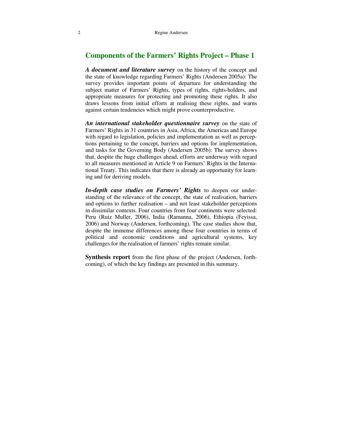## **Components of the Farmers' Rights Project – Phase 1**

*A document and literature survey* on the history of the concept and the state of knowledge regarding Farmers' Rights (Andersen 2005a): The survey provides important points of departure for understanding the subject matter of Farmers' Rights, types of rights, rights-holders, and appropriate measures for protecting and promoting these rights. It also draws lessons from initial efforts at realising these rights, and warns against certain tendencies which might prove counterproductive.

*An international stakeholder questionnaire survey* on the state of Farmers' Rights in 31 countries in Asia, Africa, the Americas and Europe with regard to legislation, policies and implementation as well as perceptions pertaining to the concept, barriers and options for implementation, and tasks for the Governing Body (Andersen 2005b): The survey shows that, despite the huge challenges ahead, efforts are underway with regard to all measures mentioned in Article 9 on Farmers' Rights in the International Treaty. This indicates that there is already an opportunity for learning and for deriving models.

*In-depth case studies on Farmers' Rights* to deepen our understanding of the relevance of the concept, the state of realisation, barriers and options to further realisation – and not least stakeholder perceptions in dissimilar contexts. Four countries from four continents were selected: Peru (Ruiz Muller, 2006), India (Ramanna, 2006), Ethiopia (Feyissa, 2006) and Norway (Andersen, forthcoming). The case studies show that, despite the immense differences among these four countries in terms of political and economic conditions and agricultural systems, key challenges for the realisation of farmers' rights remain similar.

**Synthesis report** from the first phase of the project (Andersen, forthcoming), of which the key findings are presented in this summary.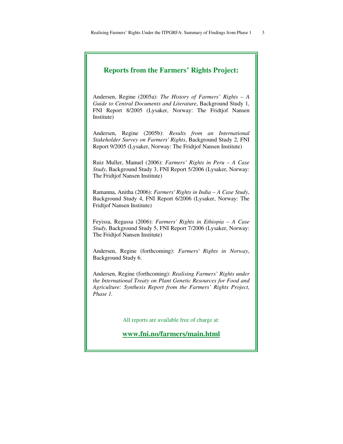| <b>Reports from the Farmers' Rights Project:</b>                                                                                                                                                                   |  |  |  |  |
|--------------------------------------------------------------------------------------------------------------------------------------------------------------------------------------------------------------------|--|--|--|--|
| Andersen, Regine (2005a): The History of Farmers' Rights - $A$<br>Guide to Central Documents and Literature, Background Study 1,<br>FNI Report 8/2005 (Lysaker, Norway: The Fridtjof Nansen<br>Institute)          |  |  |  |  |
| Andersen, Regine (2005b): Results from an International<br>Stakeholder Survey on Farmers' Rights, Background Study 2, FNI<br>Report 9/2005 (Lysaker, Norway: The Fridtjof Nansen Institute)                        |  |  |  |  |
| Ruiz Muller, Manuel (2006): Farmers' Rights in Peru - A Case<br>Study, Background Study 3, FNI Report 5/2006 (Lysaker, Norway:<br>The Fridtjof Nansen Institute)                                                   |  |  |  |  |
| Ramanna, Anitha (2006): Farmers' Rights in India - A Case Study,<br>Background Study 4, FNI Report 6/2006 (Lysaker, Norway: The<br>Fridtjof Nansen Institute)                                                      |  |  |  |  |
| Feyissa, Regassa (2006): Farmers' Rights in Ethiopia - A Case<br>Study, Background Study 5, FNI Report 7/2006 (Lysaker, Norway:<br>The Fridtjof Nansen Institute)                                                  |  |  |  |  |
| Andersen, Regine (forthcoming): Farmers' Rights in Norway,<br>Background Study 6.                                                                                                                                  |  |  |  |  |
| Andersen, Regine (forthcoming): Realising Farmers' Rights under<br>the International Treaty on Plant Genetic Resources for Food and<br>Agriculture: Synthesis Report from the Farmers' Rights Project,<br>Phase 1. |  |  |  |  |
| All reports are available free of charge at:                                                                                                                                                                       |  |  |  |  |
| www.fni.no/farmers/main.html                                                                                                                                                                                       |  |  |  |  |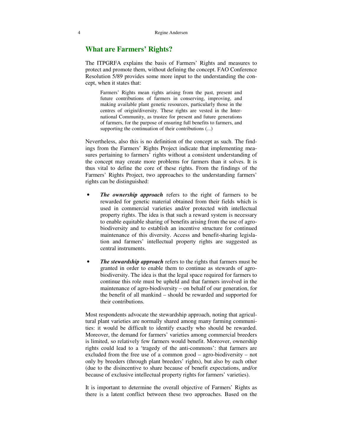# **What are Farmers' Rights?**

The ITPGRFA explains the basis of Farmers' Rights and measures to protect and promote them, without defining the concept. FAO Conference Resolution 5/89 provides some more input to the understanding the concept, when it states that:

Farmers' Rights mean rights arising from the past, present and future contributions of farmers in conserving, improving, and making available plant genetic resources, particularly those in the centres of origin/diversity. These rights are vested in the International Community, as trustee for present and future generations of farmers, for the purpose of ensuring full benefits to farmers, and supporting the continuation of their contributions (...)

Nevertheless, also this is no definition of the concept as such. The findings from the Farmers' Rights Project indicate that implementing measures pertaining to farmers' rights without a consistent understanding of the concept may create more problems for farmers than it solves. It is thus vital to define the core of these rights. From the findings of the Farmers' Rights Project, two approaches to the understanding farmers' rights can be distinguished:

- *The ownership approach* refers to the right of farmers to be rewarded for genetic material obtained from their fields which is used in commercial varieties and/or protected with intellectual property rights. The idea is that such a reward system is necessary to enable equitable sharing of benefits arising from the use of agrobiodiversity and to establish an incentive structure for continued maintenance of this diversity. Access and benefit-sharing legislation and farmers' intellectual property rights are suggested as central instruments.
- *The stewardship approach* refers to the rights that farmers must be granted in order to enable them to continue as stewards of agrobiodiversity. The idea is that the legal space required for farmers to continue this role must be upheld and that farmers involved in the maintenance of agro-biodiversity – on behalf of our generation, for the benefit of all mankind – should be rewarded and supported for their contributions.

Most respondents advocate the stewardship approach, noting that agricultural plant varieties are normally shared among many farming communities: it would be difficult to identify exactly who should be rewarded. Moreover, the demand for farmers' varieties among commercial breeders is limited, so relatively few farmers would benefit. Moreover, ownership rights could lead to a 'tragedy of the anti-commons': that farmers are excluded from the free use of a common good – agro-biodiversity – not only by breeders (through plant breeders' rights), but also by each other (due to the disincentive to share because of benefit expectations, and/or because of exclusive intellectual property rights for farmers' varieties).

It is important to determine the overall objective of Farmers' Rights as there is a latent conflict between these two approaches. Based on the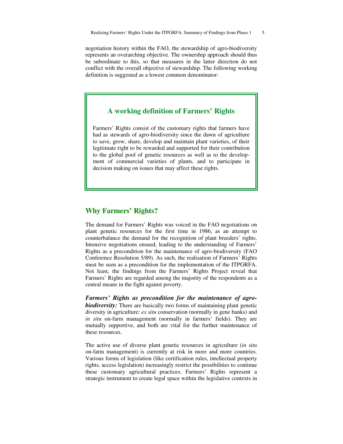negotiation history within the FAO, the stewardship of agro-biodiversity represents an overarching objective. The ownership approach should thus be subordinate to this, so that measures in the latter direction do not conflict with the overall objective of stewardship. The following working definition is suggested as a lowest common denominator:

# **A working definition of Farmers' Rights**

Farmers' Rights consist of the customary rights that farmers have had as stewards of agro-biodiversity since the dawn of agriculture to save, grow, share, develop and maintain plant varieties, of their legitimate right to be rewarded and supported for their contribution to the global pool of genetic resources as well as to the development of commercial varieties of plants, and to participate in decision making on issues that may affect these rights.

### **Why Farmers' Rights?**

The demand for Farmers' Rights was voiced in the FAO negotiations on plant genetic resources for the first time in 1986, as an attempt to counterbalance the demand for the recognition of plant breeders' rights. Intensive negotiations ensued, leading to the understanding of Farmers' Rights as a precondition for the maintenance of agro-biodiversity (FAO Conference Resolution 5/89). As such, the realisation of Farmers' Rights must be seen as a precondition for the implementation of the ITPGRFA. Not least, the findings from the Farmers' Rights Project reveal that Farmers' Rights are regarded among the majority of the respondents as a central means in the fight against poverty.

*Farmers' Rights as precondition for the maintenance of agro***biodiversity:** There are basically two forms of maintaining plant genetic diversity in agriculture: *ex situ* conservation (normally in gene banks) and *in situ* on-farm management (normally in farmers' fields). They are mutually supportive, and both are vital for the further maintenance of these resources.

The active use of diverse plant genetic resources in agriculture (*in situ* on-farm management) is currently at risk in more and more countries. Various forms of legislation (like certification rules, intellectual property rights, access legislation) increasingly restrict the possibilities to continue these customary agricultural practices. Farmers' Rights represent a strategic instrument to create legal space within the legislative contexts in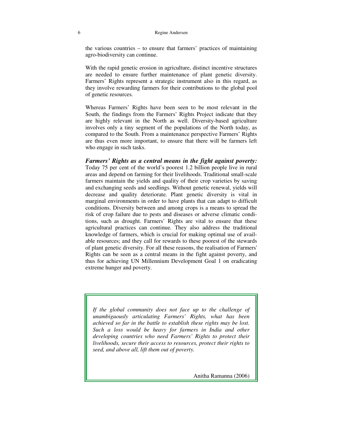### 6 Regine Andersen

the various countries – to ensure that farmers' practices of maintaining agro-biodiversity can continue.

With the rapid genetic erosion in agriculture, distinct incentive structures are needed to ensure further maintenance of plant genetic diversity. Farmers' Rights represent a strategic instrument also in this regard, as they involve rewarding farmers for their contributions to the global pool of genetic resources.

Whereas Farmers' Rights have been seen to be most relevant in the South, the findings from the Farmers' Rights Project indicate that they are highly relevant in the North as well. Diversity-based agriculture involves only a tiny segment of the populations of the North today, as compared to the South. From a maintenance perspective Farmers' Rights are thus even more important, to ensure that there will be farmers left who engage in such tasks.

*Farmers' Rights as a central means in the fight against poverty:* Today 75 per cent of the world's poorest 1.2 billion people live in rural areas and depend on farming for their livelihoods. Traditional small-scale farmers maintain the yields and quality of their crop varieties by saving and exchanging seeds and seedlings. Without genetic renewal, yields will decrease and quality deteriorate. Plant genetic diversity is vital in marginal environments in order to have plants that can adapt to difficult conditions. Diversity between and among crops is a means to spread the risk of crop failure due to pests and diseases or adverse climatic conditions, such as drought. Farmers' Rights are vital to ensure that these agricultural practices can continue. They also address the traditional knowledge of farmers, which is crucial for making optimal use of available resources; and they call for rewards to these poorest of the stewards of plant genetic diversity. For all these reasons, the realisation of Farmers' Rights can be seen as a central means in the fight against poverty, and thus for achieving UN Millennium Development Goal 1 on eradicating extreme hunger and poverty.

*If the global community does not face up to the challenge of unambiguously articulating Farmers' Rights, what has been achieved so far in the battle to establish these rights may be lost. Such a loss would be heavy for farmers in India and other developing countries who need Farmers' Rights to protect their livelihoods, secure their access to resources, protect their rights to seed, and above all, lift them out of poverty.*

Anitha Ramanna (2006)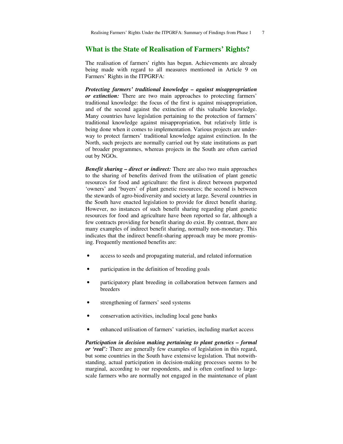### **What is the State of Realisation of Farmers' Rights?**

The realisation of farmers' rights has begun. Achievements are already being made with regard to all measures mentioned in Article 9 on Farmers' Rights in the ITPGRFA:

*Protecting farmers' traditional knowledge – against misappropriation or extinction:* There are two main approaches to protecting farmers' traditional knowledge: the focus of the first is against misappropriation, and of the second against the extinction of this valuable knowledge. Many countries have legislation pertaining to the protection of farmers' traditional knowledge against misappropriation, but relatively little is being done when it comes to implementation. Various projects are underway to protect farmers' traditional knowledge against extinction. In the North, such projects are normally carried out by state institutions as part of broader programmes, whereas projects in the South are often carried out by NGOs.

*Benefit sharing – direct or indirect:* There are also two main approaches to the sharing of benefits derived from the utilisation of plant genetic resources for food and agriculture: the first is direct between purported 'owners' and 'buyers' of plant genetic resources; the second is between the stewards of agro-biodiversity and society at large. Several countries in the South have enacted legislation to provide for direct benefit sharing. However, no instances of such benefit sharing regarding plant genetic resources for food and agriculture have been reported so far, although a few contracts providing for benefit sharing do exist. By contrast, there are many examples of indirect benefit sharing, normally non-monetary. This indicates that the indirect benefit-sharing approach may be more promising. Frequently mentioned benefits are:

- access to seeds and propagating material, and related information
- participation in the definition of breeding goals
- participatory plant breeding in collaboration between farmers and breeders
- strengthening of farmers' seed systems
- conservation activities, including local gene banks
- enhanced utilisation of farmers' varieties, including market access

*Participation in decision making pertaining to plant genetics – formal or 'real':* There are generally few examples of legislation in this regard, but some countries in the South have extensive legislation. That notwithstanding, actual participation in decision-making processes seems to be marginal, according to our respondents, and is often confined to largescale farmers who are normally not engaged in the maintenance of plant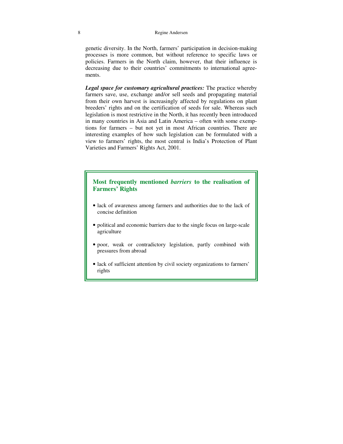genetic diversity. In the North, farmers' participation in decision-making processes is more common, but without reference to specific laws or policies. Farmers in the North claim, however, that their influence is decreasing due to their countries' commitments to international agreements.

*Legal space for customary agricultural practices:* The practice whereby farmers save, use, exchange and/or sell seeds and propagating material from their own harvest is increasingly affected by regulations on plant breeders' rights and on the certification of seeds for sale. Whereas such legislation is most restrictive in the North, it has recently been introduced in many countries in Asia and Latin America – often with some exemptions for farmers – but not yet in most African countries. There are interesting examples of how such legislation can be formulated with a view to farmers' rights, the most central is India's Protection of Plant Varieties and Farmers' Rights Act, 2001.

### **Most frequently mentioned** *barriers* **to the realisation of Farmers' Rights**

- lack of awareness among farmers and authorities due to the lack of concise definition
- political and economic barriers due to the single focus on large-scale agriculture
- poor, weak or contradictory legislation, partly combined with pressures from abroad
- lack of sufficient attention by civil society organizations to farmers' rights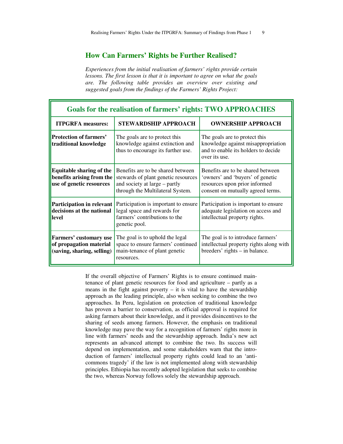## **How Can Farmers' Rights be Further Realised?**

*Experiences from the initial realisation of farmers' rights provide certain lessons. The first lesson is that it is important to agree on what the goals are. The following table provides an overview over existing and suggested goals from the findings of the Farmers' Rights Project:*

| <b>Goals for the realisation of farmers' rights: TWO APPROACHES</b>                      |                                                                                                                                               |                                                                                                                                             |  |
|------------------------------------------------------------------------------------------|-----------------------------------------------------------------------------------------------------------------------------------------------|---------------------------------------------------------------------------------------------------------------------------------------------|--|
| <b>ITPGRFA</b> measures:                                                                 | <b>STEWARDSHIP APPROACH</b>                                                                                                                   | <b>OWNERSHIP APPROACH</b>                                                                                                                   |  |
| <b>Protection of farmers'</b><br>traditional knowledge                                   | The goals are to protect this<br>knowledge against extinction and<br>thus to encourage its further use.                                       | The goals are to protect this<br>knowledge against misappropriation<br>and to enable its holders to decide<br>over its use.                 |  |
| <b>Equitable sharing of the</b><br>benefits arising from the<br>use of genetic resources | Benefits are to be shared between<br>stewards of plant genetic resources<br>and society at large – partly<br>through the Multilateral System. | Benefits are to be shared between<br>'owners' and 'buyers' of genetic<br>resources upon prior informed<br>consent on mutually agreed terms. |  |
| Participation in relevant<br>decisions at the national<br>level                          | Participation is important to ensure<br>legal space and rewards for<br>farmers' contributions to the<br>genetic pool.                         | Participation is important to ensure<br>adequate legislation on access and<br>intellectual property rights.                                 |  |
| Farmers' customary use<br>of propagation material<br>(saving, sharing, selling)          | The goal is to uphold the legal<br>space to ensure farmers' continued<br>main-tenance of plant genetic<br>resources.                          | The goal is to introduce farmers'<br>intellectual property rights along with<br>breeders' rights $-$ in balance.                            |  |

If the overall objective of Farmers' Rights is to ensure continued maintenance of plant genetic resources for food and agriculture – partly as a means in the fight against poverty  $-$  it is vital to have the stewardship approach as the leading principle, also when seeking to combine the two approaches. In Peru, legislation on protection of traditional knowledge has proven a barrier to conservation, as official approval is required for asking farmers about their knowledge, and it provides disincentives to the sharing of seeds among farmers. However, the emphasis on traditional knowledge may pave the way for a recognition of farmers' rights more in line with farmers' needs and the stewardship approach. India's new act represents an advanced attempt to combine the two. Its success will depend on implementation, and some stakeholders warn that the introduction of farmers' intellectual property rights could lead to an 'anticommons tragedy' if the law is not implemented along with stewardship principles. Ethiopia has recently adopted legislation that seeks to combine the two, whereas Norway follows solely the stewardship approach.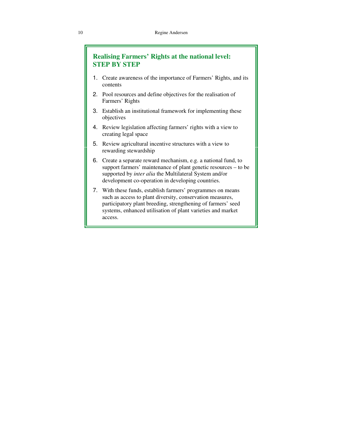# **Realising Farmers' Rights at the national level: STEP BY STEP**

- 1. Create awareness of the importance of Farmers' Rights, and its contents
- 2. Pool resources and define objectives for the realisation of Farmers' Rights
- 3. Establish an institutional framework for implementing these objectives
- 4. Review legislation affecting farmers' rights with a view to creating legal space
- 5. Review agricultural incentive structures with a view to rewarding stewardship
- 6. Create a separate reward mechanism, e.g. a national fund, to support farmers' maintenance of plant genetic resources – to be supported by *inter alia* the Multilateral System and/or development co-operation in developing countries.
- 7. With these funds, establish farmers' programmes on means such as access to plant diversity, conservation measures, participatory plant breeding, strengthening of farmers' seed systems, enhanced utilisation of plant varieties and market access.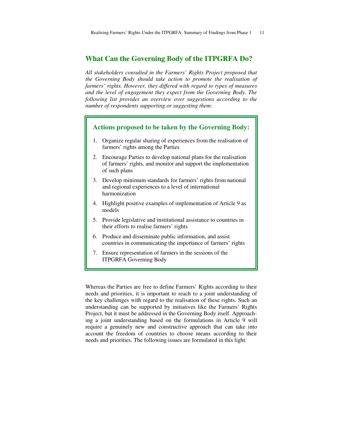### **What Can the Governing Body of the ITPGRFA Do?**

*All stakeholders consulted in the Farmers' Rights Project proposed that the Governing Body should take action to promote the realisation of farmers' rights. However, they differed with regard to types of measures and the level of engagement they expect from the Governing Body. The following list provides an overview over suggestions according to the number of respondents supporting or suggesting them:*

### **Actions proposed to be taken by the Governing Body:**

- 1. Organize regular sharing of experiences from the realisation of farmers' rights among the Parties
- 2. Encourage Parties to develop national plans for the realisation of farmers' rights, and monitor and support the implementation of such plans
- 3. Develop minimum standards for farmers' rights from national and regional experiences to a level of international harmonization
- 4. Highlight positive examples of implementation of Article 9 as models
- 5. Provide legislative and institutional assistance to countries in their efforts to realise farmers' rights
- 6. Produce and disseminate public information, and assist countries in communicating the importance of farmers' rights
- 7. Ensure representation of farmers in the sessions of the ITPGRFA Governing Body

Whereas the Parties are free to define Farmers' Rights according to their needs and priorities, it is important to reach to a joint understanding of the key challenges with regard to the realisation of these rights. Such an understanding can be supported by initiatives like the Farmers' Rights Project, but it must be addressed in the Governing Body itself. Approaching a joint understanding based on the formulations in Article 9 will require a genuinely new and constructive approach that can take into account the freedom of countries to choose means according to their needs and priorities. The following issues are formulated in this light: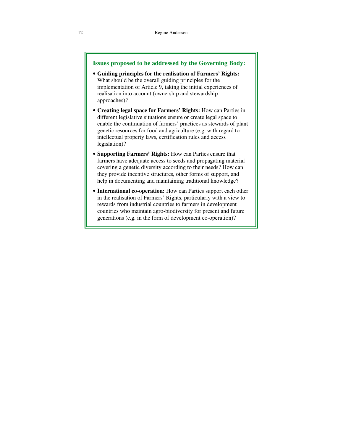### **Issues proposed to be addressed by the Governing Body:**

- **Guiding principles for the realisation of Farmers' Rights:** What should be the overall guiding principles for the implementation of Article 9, taking the initial experiences of realisation into account (ownership and stewardship approaches)?
- **Creating legal space for Farmers' Rights:** How can Parties in different legislative situations ensure or create legal space to enable the continuation of farmers' practices as stewards of plant genetic resources for food and agriculture (e.g. with regard to intellectual property laws, certification rules and access legislation)?
- **Supporting Farmers' Rights:** How can Parties ensure that farmers have adequate access to seeds and propagating material covering a genetic diversity according to their needs? How can they provide incentive structures, other forms of support, and help in documenting and maintaining traditional knowledge?
- **International co-operation:** How can Parties support each other in the realisation of Farmers' Rights, particularly with a view to rewards from industrial countries to farmers in development countries who maintain agro-biodiversity for present and future generations (e.g. in the form of development co-operation)?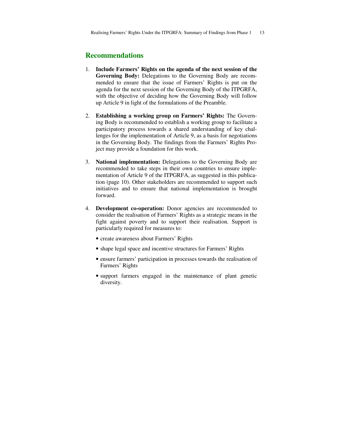### **Recommendations**

- 1. **Include Farmers' Rights on the agenda of the next session of the Governing Body:** Delegations to the Governing Body are recommended to ensure that the issue of Farmers' Rights is put on the agenda for the next session of the Governing Body of the ITPGRFA, with the objective of deciding how the Governing Body will follow up Article 9 in light of the formulations of the Preamble.
- 2. **Establishing a working group on Farmers' Rights:** The Governing Body is recommended to establish a working group to facilitate a participatory process towards a shared understanding of key challenges for the implementation of Article 9, as a basis for negotiations in the Governing Body. The findings from the Farmers' Rights Project may provide a foundation for this work.
- 3. **National implementation:** Delegations to the Governing Body are recommended to take steps in their own countries to ensure implementation of Article 9 of the ITPGRFA, as suggested in this publication (page 10). Other stakeholders are recommended to support such initiatives and to ensure that national implementation is brought forward.
- 4. **Development co-operation:** Donor agencies are recommended to consider the realisation of Farmers' Rights as a strategic means in the fight against poverty and to support their realisation. Support is particularly required for measures to:
	- create awareness about Farmers' Rights
	- shape legal space and incentive structures for Farmers' Rights
	- ensure farmers' participation in processes towards the realisation of Farmers' Rights
	- support farmers engaged in the maintenance of plant genetic diversity.